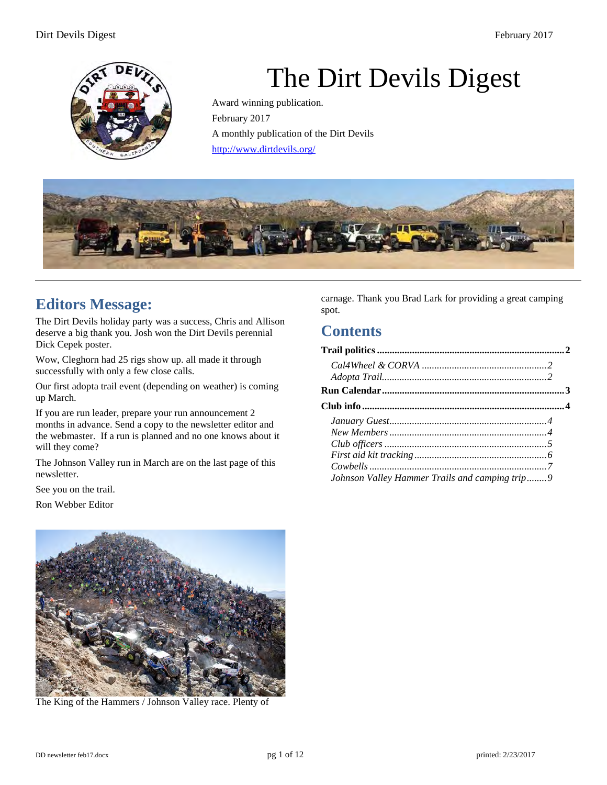

# The Dirt Devils Digest

Award winning publication. February 2017 A monthly publication of the Dirt Devils <http://www.dirtdevils.org/>



# **Editors Message:**

The Dirt Devils holiday party was a success, Chris and Allison deserve a big thank you. Josh won the Dirt Devils perennial Dick Cepek poster.

Wow, Cleghorn had 25 rigs show up. all made it through successfully with only a few close calls.

Our first adopta trail event (depending on weather) is coming up March.

If you are run leader, prepare your run announcement 2 months in advance. Send a copy to the newsletter editor and the webmaster. If a run is planned and no one knows about it will they come?

The Johnson Valley run in March are on the last page of this newsletter.

See you on the trail.

Ron Webber Editor

carnage. Thank you Brad Lark for providing a great camping spot.

# **Contents**

| Johnson Valley Hammer Trails and camping trip9 |  |
|------------------------------------------------|--|



The King of the Hammers / Johnson Valley race. Plenty of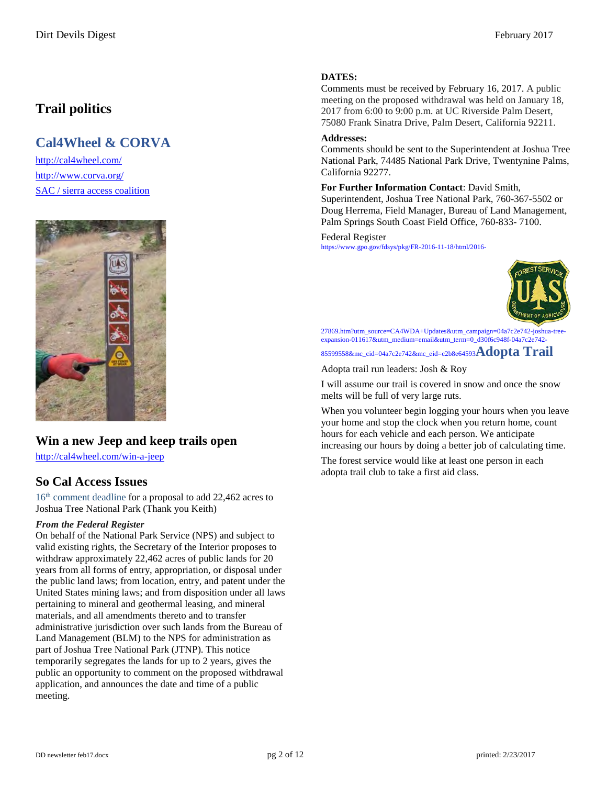# <span id="page-1-0"></span>**Trail politics**

# <span id="page-1-1"></span>**Cal4Wheel & CORVA**

<http://cal4wheel.com/> <http://www.corva.org/> SAC / sierra access coalition



## **Win a new Jeep and keep trails open**

<http://cal4wheel.com/win-a-jeep>

## **So Cal Access Issues**

16<sup>th</sup> comment deadline for a proposal to add 22,462 acres to Joshua Tree National Park (Thank you Keith)

#### *From the Federal Register*

On behalf of the National Park Service (NPS) and subject to valid existing rights, the Secretary of the Interior proposes to withdraw approximately 22,462 acres of public lands for 20 years from all forms of entry, appropriation, or disposal under the public land laws; from location, entry, and patent under the United States mining laws; and from disposition under all laws pertaining to mineral and geothermal leasing, and mineral materials, and all amendments thereto and to transfer administrative jurisdiction over such lands from the Bureau of Land Management (BLM) to the NPS for administration as part of Joshua Tree National Park (JTNP). This notice temporarily segregates the lands for up to 2 years, gives the public an opportunity to comment on the proposed withdrawal application, and announces the date and time of a public meeting.

#### **DATES:**

Comments must be received by February 16, 2017. A public meeting on the proposed withdrawal was held on January 18, 2017 from 6:00 to 9:00 p.m. at UC Riverside Palm Desert, 75080 Frank Sinatra Drive, Palm Desert, California 92211.

#### **Addresses:**

Comments should be sent to the Superintendent at Joshua Tree National Park, 74485 National Park Drive, Twentynine Palms, California 92277.

**For Further Information Contact**: David Smith, Superintendent, Joshua Tree National Park, 760-367-5502 or Doug Herrema, Field Manager, Bureau of Land Management, Palm Springs South Coast Field Office, 760-833- 7100.

#### [Federal Register](http://cal4wheel.us1.list-manage1.com/track/click?u=d3185832a6e86a7032c68d031&id=f3677707dd&e=c2b8e64593)

https://www.gpo.gov/fdsys/pkg/FR-2016-11-18/html/2016-

<span id="page-1-2"></span>

27869.htm?utm\_source=CA4WDA+Updates&utm\_campaign=04a7c2e742-joshua-treeexpansion-011617&utm\_medium=email&utm\_term=0\_d30f6c948f-04a7c2e742-

#### 85599558&mc\_cid=04a7c2e742&mc\_eid=c2b8e64593**Adopta Trail**

Adopta trail run leaders: Josh & Roy

I will assume our trail is covered in snow and once the snow melts will be full of very large ruts.

When you volunteer begin logging your hours when you leave your home and stop the clock when you return home, count hours for each vehicle and each person. We anticipate increasing our hours by doing a better job of calculating time.

The forest service would like at least one person in each adopta trail club to take a first aid class.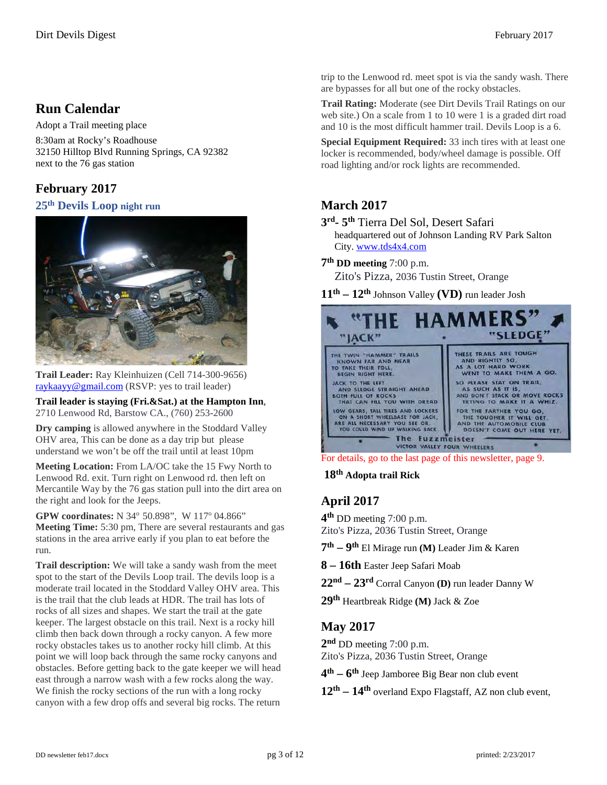## <span id="page-2-0"></span>**Run Calendar**

Adopt a Trail meeting place

8:30am at Rocky's Roadhouse 32150 Hilltop Blvd Running Springs, CA 92382 next to the 76 gas station

## **February 2017**

#### **25th Devils Loop night run**



**Trail Leader:** Ray Kleinhuizen (Cell 714-300-9656) [raykaayy@gmail.com](mailto:raykaayy@gmail.com) (RSVP: yes to trail leader)

**Trail leader is staying (Fri.&Sat.) at the Hampton Inn**, 2710 Lenwood Rd, Barstow CA., (760) 253-2600

**Dry camping** is allowed anywhere in the Stoddard Valley OHV area, This can be done as a day trip but please understand we won't be off the trail until at least 10pm

**Meeting Location:** From LA/OC take the 15 Fwy North to Lenwood Rd. exit. Turn right on Lenwood rd. then left on Mercantile Way by the 76 gas station pull into the dirt area on the right and look for the Jeeps.

**GPW coordinates:** N 34° 50.898", W 117° 04.866"

**Meeting Time:** 5:30 pm, There are several restaurants and gas stations in the area arrive early if you plan to eat before the run.

**Trail description:** We will take a sandy wash from the meet spot to the start of the Devils Loop trail. The devils loop is a moderate trail located in the Stoddard Valley OHV area. This is the trail that the club leads at HDR. The trail has lots of rocks of all sizes and shapes. We start the trail at the gate keeper. The largest obstacle on this trail. Next is a rocky hill climb then back down through a rocky canyon. A few more rocky obstacles takes us to another rocky hill climb. At this point we will loop back through the same rocky canyons and obstacles. Before getting back to the gate keeper we will head east through a narrow wash with a few rocks along the way. We finish the rocky sections of the run with a long rocky canyon with a few drop offs and several big rocks. The return

trip to the Lenwood rd. meet spot is via the sandy wash. There are bypasses for all but one of the rocky obstacles.

**Trail Rating:** Moderate (see Dirt Devils Trail Ratings on our web site.) On a scale from 1 to 10 were 1 is a graded dirt road and 10 is the most difficult hammer trail. Devils Loop is a 6.

**Special Equipment Required:** 33 inch tires with at least one locker is recommended, body/wheel damage is possible. Off road lighting and/or rock lights are recommended.

## **March 2017**

**3rd- 5th** Tierra Del Sol, Desert Safari headquartered out of Johnson Landing RV Park Salton City[. www.tds4x4.com](http://www.tds4x4.com/)

**7th DD meeting** 7:00 p.m.

Zito's Pizza, 2036 Tustin Street, Orange

**11th – 12th** Johnson Valley **(VD)** run leader Josh



For details, go to the last page of this newsletter, page 9.

 **18th Adopta trail Rick**

## **April 2017**

**4th** DD meeting 7:00 p.m. Zito's Pizza, 2036 Tustin Street, Orange

**7th – 9th** El Mirage run **(M)** Leader Jim & Karen

**8 – 16th** Easter Jeep Safari Moab

**22nd – 23rd** Corral Canyon **(D)** run leader Danny W

**29th** Heartbreak Ridge **(M)** Jack & Zoe

## **May 2017**

2<sup>nd</sup> DD meeting 7:00 p.m. Zito's Pizza, 2036 Tustin Street, Orange

**4th – 6th** Jeep Jamboree Big Bear non club event

**12th – 14th** overland Expo Flagstaff, AZ non club event,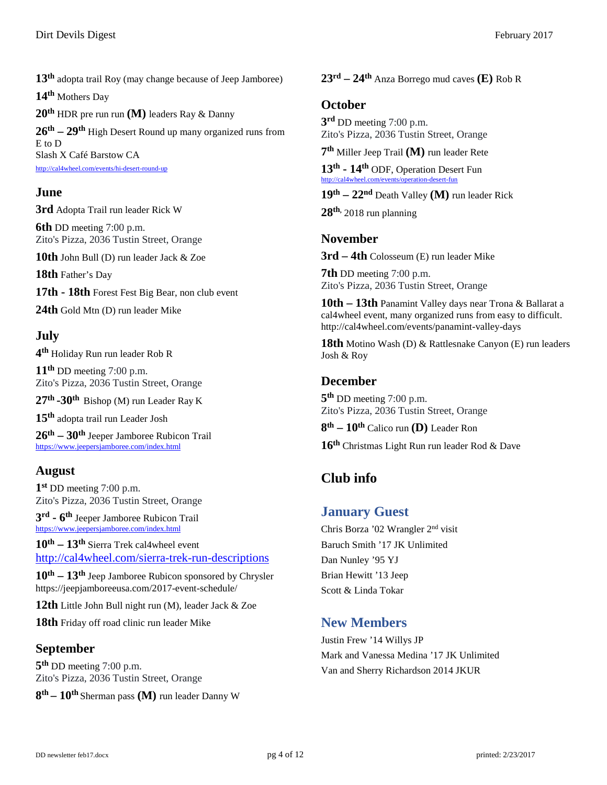**13th** adopta trail Roy (may change because of Jeep Jamboree)

**14th** Mothers Day

**20th** HDR pre run run **(M)** leaders Ray & Danny

**26th – 29th** High Desert Round up many organized runs from E to D Slash X Café Barstow CA <http://cal4wheel.com/events/hi-desert-round-up>

## **June**

**3rd** Adopta Trail run leader Rick W

**6th** DD meeting 7:00 p.m. Zito's Pizza, 2036 Tustin Street, Orange

**10th** John Bull (D) run leader Jack & Zoe

**18th** Father's Day

**17th - 18th** Forest Fest Big Bear, non club event

**24th** Gold Mtn (D) run leader Mike

## **July**

**4th** Holiday Run run leader Rob R

**11th** DD meeting 7:00 p.m. Zito's Pizza, 2036 Tustin Street, Orange

**27th -30th** Bishop (M) run Leader Ray K

**15th** adopta trail run Leader Josh

**26th – 30th** Jeeper Jamboree Rubicon Trail <https://www.jeepersjamboree.com/index.html>

## **August**

**1st** DD meeting 7:00 p.m. Zito's Pizza, 2036 Tustin Street, Orange

**3rd - 6th** Jeeper Jamboree Rubicon Trail <https://www.jeepersjamboree.com/index.html>

**10th – 13th** Sierra Trek cal4wheel event <http://cal4wheel.com/sierra-trek-run-descriptions>

**10th – 13th** Jeep Jamboree Rubicon sponsored by Chrysler <https://jeepjamboreeusa.com/2017-event-schedule/>

**12th** Little John Bull night run (M), leader Jack & Zoe

**18th** Friday off road clinic run leader Mike

## **September**

**5th** DD meeting 7:00 p.m. Zito's Pizza, 2036 Tustin Street, Orange

**8th – 10th** Sherman pass **(M)** run leader Danny W

**23rd – 24th** Anza Borrego mud caves **(E)** Rob R

#### **October**

**3rd** DD meeting 7:00 p.m. Zito's Pizza, 2036 Tustin Street, Orange

**7th** Miller Jeep Trail **(M)** run leader Rete

**13th - 14th** ODF, Operation Desert Fun <http://cal4wheel.com/events/operation-desert-fun>

**19th – 22nd** Death Valley **(M)** run leader Rick

**28th,** 2018 run planning

#### **November**

**3rd – 4th** Colosseum (E) run leader Mike

**7th** DD meeting 7:00 p.m. Zito's Pizza, 2036 Tustin Street, Orange

**10th – 13th** Panamint Valley days near Trona & Ballarat a cal4wheel event, many organized runs from easy to difficult. <http://cal4wheel.com/events/panamint-valley-days>

**18th** Motino Wash (D) & Rattlesnake Canyon (E) run leaders Josh & Roy

#### **December**

**5th** DD meeting 7:00 p.m. Zito's Pizza, 2036 Tustin Street, Orange

**8th – 10th** Calico run **(D)** Leader Ron

**16th** Christmas Light Run run leader Rod & Dave

# <span id="page-3-0"></span>**Club info**

## <span id="page-3-1"></span>**January Guest**

Chris Borza '02 Wrangler 2nd visit Baruch Smith '17 JK Unlimited Dan Nunley '95 YJ Brian Hewitt '13 Jeep Scott & Linda Tokar

## <span id="page-3-2"></span>**New Members**

Justin Frew '14 Willys JP Mark and Vanessa Medina '17 JK Unlimited Van and Sherry Richardson 2014 JKUR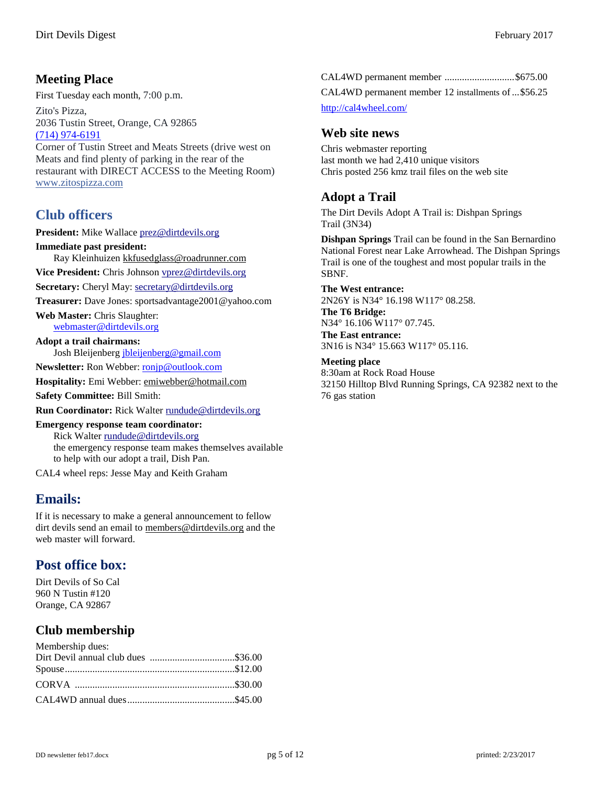## **Meeting Place**

First Tuesday each month, 7:00 p.m.

Zito's Pizza, 2036 Tustin Street, Orange, CA 92865 [\(714\) 974-6191](tel:%28714%29974-6191) 

Corner of Tustin Street and Meats Streets (drive west on Meats and find plenty of parking in the rear of the restaurant with DIRECT ACCESS to the Meeting Room) [www.zitospizza.com](http://www.zitospizza.com/)

## <span id="page-4-0"></span>**Club officers**

**President:** Mike Wallace prez@dirtdevils.org **Immediate past president:** Ray Kleinhuizen [kkfusedglass@roadrunner.com](mailto:kkfusedglass@roadrunner.com)  **Vice President:** Chris Johnson vprez@dirtdevils.org **Secretary:** Cheryl May: secretary@dirtdevils.org **Treasurer:** Dave Jones: sportsadvantage2001@yahoo.com **Web Master:** Chris Slaughter: [webmaster@dirtdevils.org](mailto:webmaster@dirtdevils.org) 

**Adopt a trail chairmans:**  Josh Bleijenber[g jbleijenberg@gmail.com](mailto:jbleijenberg@gmail.com) 

**Newsletter:** Ron Webber[: ronjp@outlook.com](mailto:ronjp@outlook.com) 

**Hospitality:** Emi Webber: [emiwebber@hotmail.com](mailto:emiwebber@hotmail.com) 

**Safety Committee:** Bill Smith:

**Run Coordinator:** Rick Walter rundude@dirtdevils.org

#### **Emergency response team coordinator:**

Rick Walter rundude@dirtdevils.org the emergency response team makes themselves available to help with our adopt a trail, Dish Pan.

CAL4 wheel reps: Jesse May and Keith Graham

## **Emails:**

If it is necessary to make a general announcement to fellow dirt devils send an email to [members@dirtdevils.org](mailto:members@dirtdevils.org) and the web master will forward.

## **Post office box:**

Dirt Devils of So Cal 960 N Tustin #120 Orange, CA 92867

## **Club membership**

| Membership dues: |  |
|------------------|--|
|                  |  |
|                  |  |
|                  |  |
|                  |  |

CAL4WD permanent member ............................\$675.00

CAL4WD permanent member 12 installments of...\$56.25

<http://cal4wheel.com/>

#### **Web site news**

Chris webmaster reporting last month we had 2,410 unique visitors Chris posted 256 kmz trail files on the web site

#### **Adopt a Trail**

The Dirt Devils Adopt A Trail is: Dishpan Springs Trail (3N34)

**Dishpan Springs** Trail can be found in the San Bernardino National Forest near Lake Arrowhead. The Dishpan Springs Trail is one of the toughest and most popular trails in the SBNF.

**The West entrance:**

2N26Y is N34° 16.198 W117° 08.258.

**The T6 Bridge:** N34° 16.106 W117° 07.745. **The East entrance:**

3N16 is N34° 15.663 W117° 05.116.

**Meeting place**  8:30am at Rock Road House 32150 Hilltop Blvd Running Springs, CA 92382 next to the 76 gas station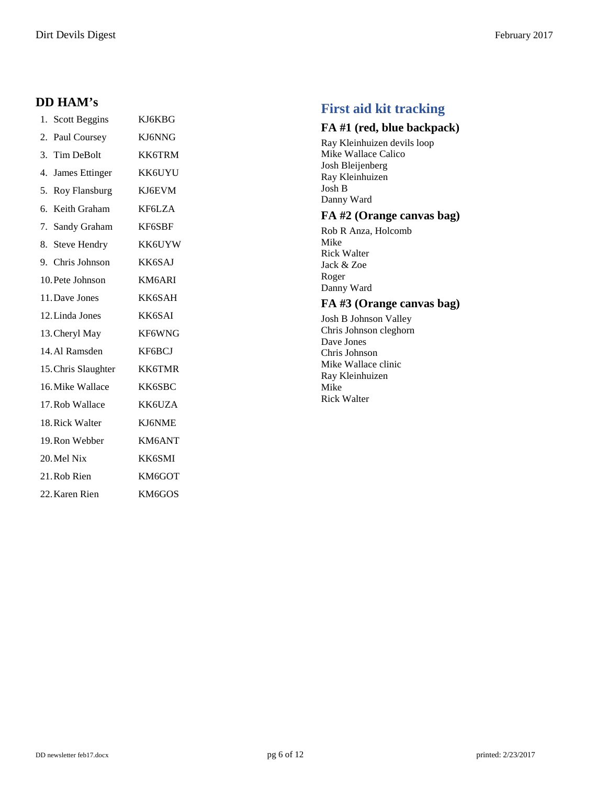## **DD HAM's**

| 1.<br><b>Scott Beggins</b>  | KJ6KBG        |
|-----------------------------|---------------|
| 2.<br>Paul Coursey          | KJ6NNG        |
| Tim DeBolt<br>3.            | KK6TRM        |
| <b>James Ettinger</b><br>4. | KK6UYU        |
| 5.<br>Roy Flansburg         | KJ6EVM        |
| Keith Graham<br>б.          | KF6LZA        |
| Sandy Graham<br>7.          | KF6SBF        |
| <b>Steve Hendry</b><br>8.   | KK6UYW        |
| 9. Chris Johnson            | KK6SAJ        |
| 10. Pete Johnson            | KM6ARI        |
| 11. Dave Jones              | KK6SAH        |
| 12. Linda Jones             | KK6SAI        |
| 13. Cheryl May              | KF6WNG        |
| 14. Al Ramsden              | KF6BCJ        |
| 15. Chris Slaughter         | <b>KK6TMR</b> |
| 16. Mike Wallace            | KK6SBC        |
| 17. Rob Wallace             | KK6UZA        |
| 18. Rick Walter             | KJ6NME        |
| 19. Ron Webber              | KM6ANT        |
| 20. Mel Nix                 | KK6SMI        |
| 21. Rob Rien                | KM6GOT        |
| 22. Karen Rien              | KM6GOS        |

## <span id="page-5-0"></span>**First aid kit tracking**

#### **FA #1 (red, blue backpack)**

Ray Kleinhuizen devils loop Mike Wallace Calico Josh Bleijenberg Ray Kleinhuizen Josh B Danny Ward

#### **FA #2 (Orange canvas bag)**

Rob R Anza, Holcomb Mike Rick Walter Jack & Zoe Roger Danny Ward

#### **FA #3 (Orange canvas bag)**

Josh B Johnson Valley Chris Johnson cleghorn Dave Jones Chris Johnson Mike Wallace clinic Ray Kleinhuizen Mike Rick Walter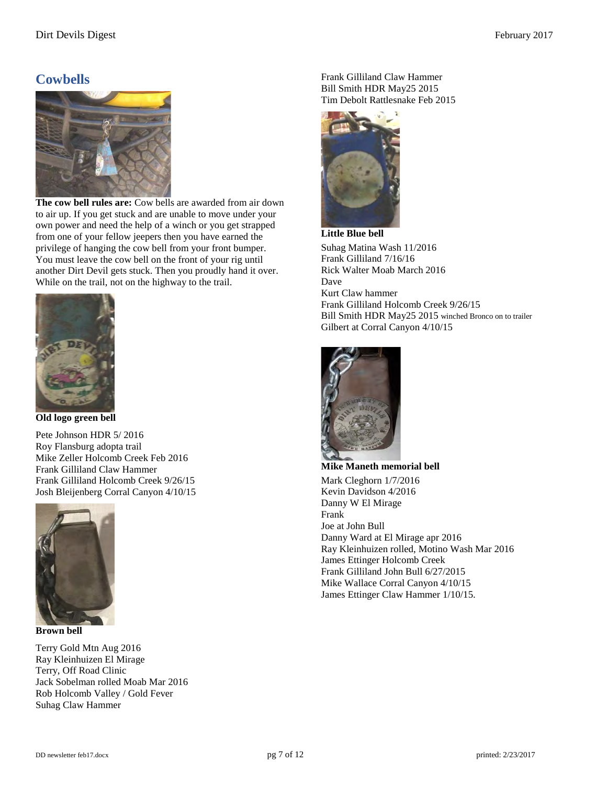#### Dirt Devils Digest February 2017

## <span id="page-6-0"></span>**Cowbells**



**The cow bell rules are:** Cow bells are awarded from air down to air up. If you get stuck and are unable to move under your own power and need the help of a winch or you get strapped from one of your fellow jeepers then you have earned the privilege of hanging the cow bell from your front bumper. You must leave the cow bell on the front of your rig until another Dirt Devil gets stuck. Then you proudly hand it over. While on the trail, not on the highway to the trail.



**Old logo green bell** 

Pete Johnson HDR 5/ 2016 Roy Flansburg adopta trail Mike Zeller Holcomb Creek Feb 2016 Frank Gilliland Claw Hammer Frank Gilliland Holcomb Creek 9/26/15 Josh Bleijenberg Corral Canyon 4/10/15



**Brown bell** 

Terry Gold Mtn Aug 2016 Ray Kleinhuizen El Mirage Terry, Off Road Clinic Jack Sobelman rolled Moab Mar 2016 Rob Holcomb Valley / Gold Fever Suhag Claw Hammer

Frank Gilliland Claw Hammer Bill Smith HDR May25 2015 Tim Debolt Rattlesnake Feb 2015



**Little Blue bell**  Suhag Matina Wash 11/2016 Frank Gilliland 7/16/16 Rick Walter Moab March 2016 Dave Kurt Claw hammer Frank Gilliland Holcomb Creek 9/26/15 Bill Smith HDR May25 2015 winched Bronco on to trailer Gilbert at Corral Canyon 4/10/15



**Mike Maneth memorial bell**  Mark Cleghorn 1/7/2016 Kevin Davidson 4/2016 Danny W El Mirage Frank Joe at John Bull Danny Ward at El Mirage apr 2016 Ray Kleinhuizen rolled, Motino Wash Mar 2016 James Ettinger Holcomb Creek Frank Gilliland John Bull 6/27/2015 Mike Wallace Corral Canyon 4/10/15 James Ettinger Claw Hammer 1/10/15.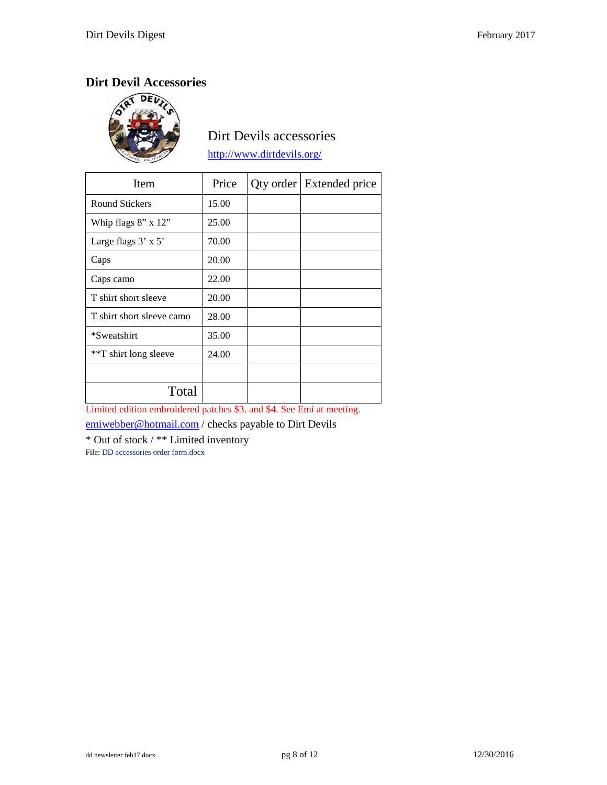# Dirt Devil Accessories



## Dirt Devils accessories

<http://www.dirtdevils.org/>

| Item                       | Price | Qty order   Extended price |
|----------------------------|-------|----------------------------|
| <b>Round Stickers</b>      | 15.00 |                            |
| Whip flags $8"$ x $12"$    | 25.00 |                            |
| Large flags $3' \times 5'$ | 70.00 |                            |
| Caps                       | 20.00 |                            |
| Caps camo                  | 22.00 |                            |
| T shirt short sleeve       | 20.00 |                            |
| T shirt short sleeve camo  | 28.00 |                            |
| *Sweatshirt                | 35.00 |                            |
| **T shirt long sleeve      | 24.00 |                            |
|                            |       |                            |
| Total                      |       |                            |

Limited edition embroidered patches \$3. and \$4. See Emi at meeting.

[emiwebber@hotmail.com](mailto:emiwebber@hotmail.com) / checks payable to Dirt Devils

\* Out of stock / \*\* Limited inventory

File: DD accessories order form.docx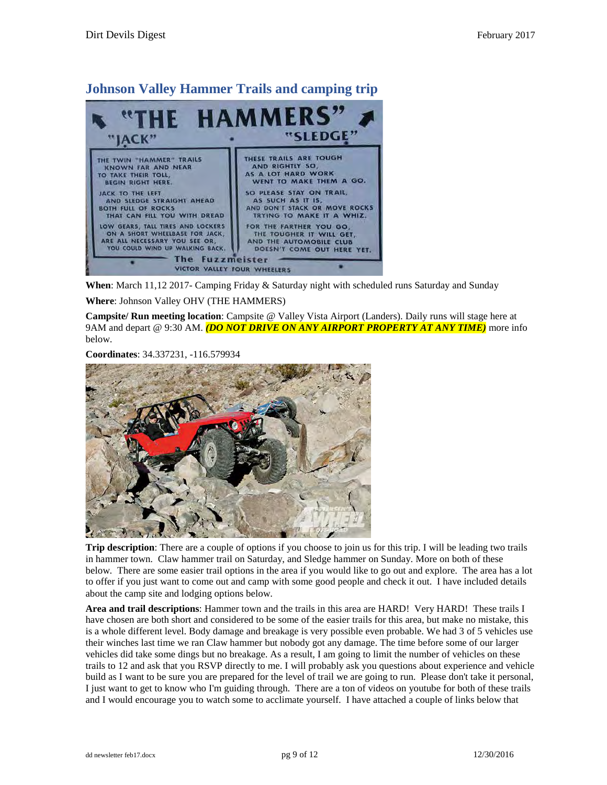#### HAMM JACK' THESE TRAILS ARE TOUGH THE TWIN "HAMMER" TRAILS **AND RIGHTLY 50** KNOWN FAR AND NEAR AS A LOT HARD WORK TO TAKE THEIR TOLL, WENT TO MAKE THEM A GO. BEGIN RIGHT HERE. SO PLEASE STAY ON TRAIL. JACK TO THE LEFT AS SUCH AS IT IS, AND DON'T STACK OR MOVE ROCKS AND SLEDGE STRAIGHT AHEAD **BOTH FULL OF ROCKS** THAT CAN FILL YOU WITH DREAD TRYING TO MAKE IT A WHIZ. LOW GEARS, TALL TIRES AND LOCKERS FOR THE FARTHER YOU GO ON A SHORT WHEELBASE FOR JACK, THE TOUGHER IT WILL GET ARE ALL NECESSARY YOU SEE OR, AND THE AUTOMOBILE CLUB YOU COULD WIND UP WALKING BACK. DOESN'T COME OUT HERE YET. The **Fuzzmeister** VICTOR VALLEY FOUR WHEELERS

<span id="page-8-0"></span>**Johnson Valley Hammer Trails and camping trip** 

**When**: March 11,12 2017- Camping Friday & Saturday night with scheduled runs Saturday and Sunday

**Where**: Johnson Valley OHV (THE HAMMERS)

**Campsite/ Run meeting location**: Campsite @ Valley Vista Airport (Landers). Daily runs will stage here at 9AM and depart @ 9:30 AM. *(DO NOT DRIVE ON ANY AIRPORT PROPERTY AT ANY TIME)* more info below.

**Coordinates**: 34.337231, -116.579934



**Trip description**: There are a couple of options if you choose to join us for this trip. I will be leading two trails in hammer town. Claw hammer trail on Saturday, and Sledge hammer on Sunday. More on both of these below. There are some easier trail options in the area if you would like to go out and explore. The area has a lot to offer if you just want to come out and camp with some good people and check it out. I have included details about the camp site and lodging options below.

**Area and trail descriptions**: Hammer town and the trails in this area are HARD! Very HARD! These trails I have chosen are both short and considered to be some of the easier trails for this area, but make no mistake, this is a whole different level. Body damage and breakage is very possible even probable. We had 3 of 5 vehicles use their winches last time we ran Claw hammer but nobody got any damage. The time before some of our larger vehicles did take some dings but no breakage. As a result, I am going to limit the number of vehicles on these trails to 12 and ask that you RSVP directly to me. I will probably ask you questions about experience and vehicle build as I want to be sure you are prepared for the level of trail we are going to run. Please don't take it personal, I just want to get to know who I'm guiding through. There are a ton of videos on youtube for both of these trails and I would encourage you to watch some to acclimate yourself. I have attached a couple of links below that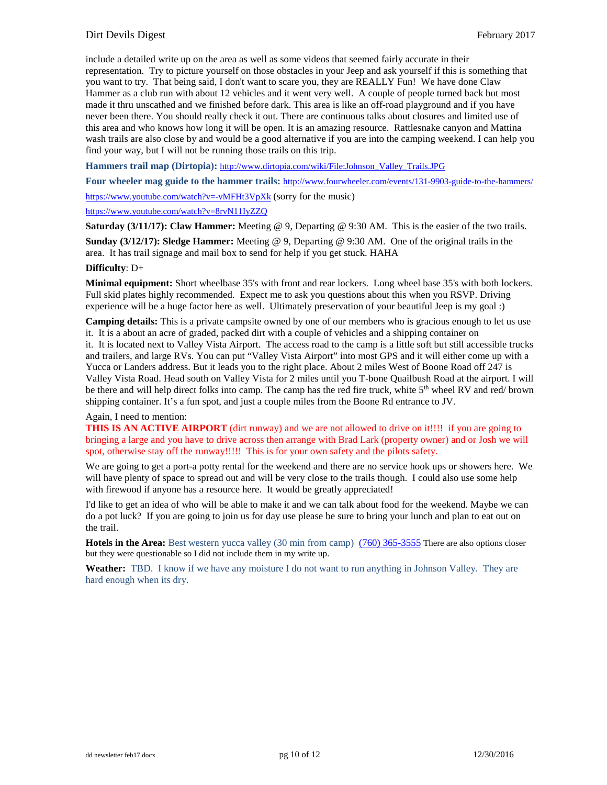#### Dirt Devils Digest February 2017

include a detailed write up on the area as well as some videos that seemed fairly accurate in their representation. Try to picture yourself on those obstacles in your Jeep and ask yourself if this is something that you want to try. That being said, I don't want to scare you, they are REALLY Fun! We have done Claw Hammer as a club run with about 12 vehicles and it went very well. A couple of people turned back but most made it thru unscathed and we finished before dark. This area is like an off-road playground and if you have never been there. You should really check it out. There are continuous talks about closures and limited use of this area and who knows how long it will be open. It is an amazing resource. Rattlesnake canyon and Mattina wash trails are also close by and would be a good alternative if you are into the camping weekend. I can help you find your way, but I will not be running those trails on this trip.

**Hammers trail map (Dirtopia):** [http://www.dirtopia.com/wiki/File:Johnson\\_Valley\\_Trails.JPG](http://www.dirtopia.com/wiki/File:Johnson_Valley_Trails.JPG)

**Four wheeler mag guide to the hammer trails:** <http://www.fourwheeler.com/events/131-9903-guide-to-the-hammers/>

<https://www.youtube.com/watch?v=-vMFHt3VpXk> (sorry for the music) <https://www.youtube.com/watch?v=8rvN11IyZZQ>

**Saturday (3/11/17): Claw Hammer:** Meeting @ 9, Departing @ 9:30 AM. This is the easier of the two trails. **Sunday (3/12/17): Sledge Hammer:** Meeting @ 9, Departing @ 9:30 AM. One of the original trails in the area. It has trail signage and mail box to send for help if you get stuck. HAHA

#### **Difficulty**: D+

**Minimal equipment:** Short wheelbase 35's with front and rear lockers. Long wheel base 35's with both lockers. Full skid plates highly recommended. Expect me to ask you questions about this when you RSVP. Driving experience will be a huge factor here as well. Ultimately preservation of your beautiful Jeep is my goal :)

**Camping details:** This is a private campsite owned by one of our members who is gracious enough to let us use it. It is a about an acre of graded, packed dirt with a couple of vehicles and a shipping container on it. It is located next to Valley Vista Airport. The access road to the camp is a little soft but still accessible trucks and trailers, and large RVs. You can put "Valley Vista Airport" into most GPS and it will either come up with a Yucca or Landers address. But it leads you to the right place. About 2 miles West of Boone Road off 247 is Valley Vista Road. Head south on Valley Vista for 2 miles until you T-bone Quailbush Road at the airport. I will be there and will help direct folks into camp. The camp has the red fire truck, white 5<sup>th</sup> wheel RV and red/ brown shipping container. It's a fun spot, and just a couple miles from the Boone Rd entrance to JV.

#### Again, I need to mention:

**THIS IS AN ACTIVE AIRPORT** (dirt runway) and we are not allowed to drive on it!!!! if you are going to bringing a large and you have to drive across then arrange with Brad Lark (property owner) and or Josh we will spot, otherwise stay off the runway!!!!! This is for your own safety and the pilots safety.

We are going to get a port-a potty rental for the weekend and there are no service hook ups or showers here. We will have plenty of space to spread out and will be very close to the trails though. I could also use some help with firewood if anyone has a resource here. It would be greatly appreciated!

I'd like to get an idea of who will be able to make it and we can talk about food for the weekend. Maybe we can do a pot luck? If you are going to join us for day use please be sure to bring your lunch and plan to eat out on the trail.

**Hotels in the Area:** Best western yucca valley (30 min from camp) [\(760\) 365-3555](tel:%28760%29%20365-3555) There are also options closer but they were questionable so I did not include them in my write up.

**Weather:** TBD. I know if we have any moisture I do not want to run anything in Johnson Valley. They are hard enough when its dry.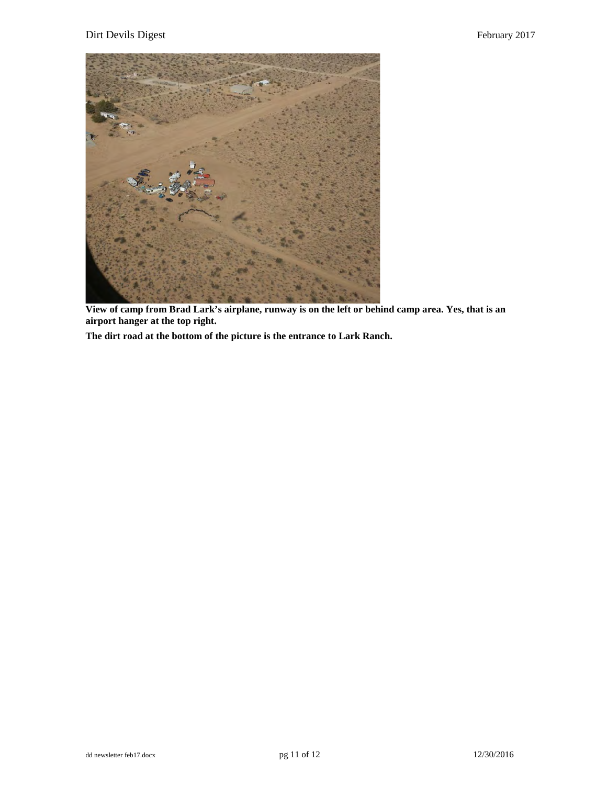#### Dirt Devils Digest February 2017



**View of camp from Brad Lark's airplane, runway is on the left or behind camp area. Yes, that is an airport hanger at the top right.** 

**The dirt road at the bottom of the picture is the entrance to Lark Ranch.**